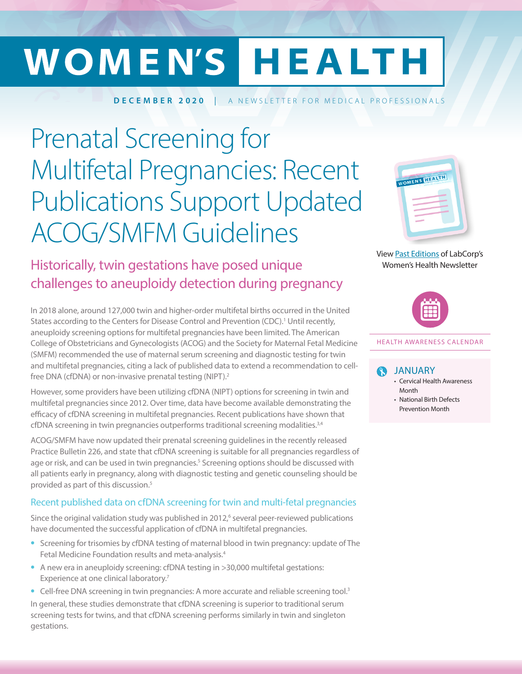# WOMEN'S HEALTH

**DECEMBER 2020** | A NEWSLETTER FOR MEDICAL PROFESSIONALS

# Prenatal Screening for Multifetal Pregnancies: Recent Publications Support Updated ACOG/SMFM Guidelines

# Historically, twin gestations have posed unique challenges to aneuploidy detection during pregnancy

In 2018 alone, around 127,000 twin and higher-order multifetal births occurred in the United States according to the Centers for Disease Control and Prevention (CDC).<sup>1</sup> Until recently, aneuploidy screening options for multifetal pregnancies have been limited. The American College of Obstetricians and Gynecologists (ACOG) and the Society for Maternal Fetal Medicine (SMFM) recommended the use of maternal serum screening and diagnostic testing for twin and multifetal pregnancies, citing a lack of published data to extend a recommendation to cellfree DNA (cfDNA) or non-invasive prenatal testing (NIPT).2

However, some providers have been utilizing cfDNA (NIPT) options for screening in twin and multifetal pregnancies since 2012. Over time, data have become available demonstrating the efficacy of cfDNA screening in multifetal pregnancies. Recent publications have shown that cfDNA screening in twin pregnancies outperforms traditional screening modalities.<sup>3,4</sup>

ACOG/SMFM have now updated their prenatal screening guidelines in the recently released Practice Bulletin 226, and state that cfDNA screening is suitable for all pregnancies regardless of age or risk, and can be used in twin pregnancies.<sup>5</sup> Screening options should be discussed with all patients early in pregnancy, along with diagnostic testing and genetic counseling should be provided as part of this discussion.5

#### Recent published data on cfDNA screening for twin and multi-fetal pregnancies

Since the original validation study was published in  $2012$ , several peer-reviewed publications have documented the successful application of cfDNA in multifetal pregnancies.

- **•** Screening for trisomies by cfDNA testing of maternal blood in twin pregnancy: update of The Fetal Medicine Foundation results and meta-analysis.4
- A new era in aneuploidy screening: cfDNA testing in >30,000 multifetal gestations: Experience at one clinical laboratory.<sup>7</sup>
- Cell-free DNA screening in twin pregnancies: A more accurate and reliable screening tool.<sup>3</sup> In general, these studies demonstrate that cfDNA screening is superior to traditional serum screening tests for twins, and that cfDNA screening performs similarly in twin and singleton gestations.



View [Past Editions](https://www.labcorp.com/provider-services/other-services/womens-health/womens-health-newsletter?spJobID=1701732558&spMailingID=41835863&spReportId=MTcwMTczMjU1OAS2&spUserID=OTg1NDk0NDk2NzAyS0&utm_campaign=22339-0120%20February%20-%20Cardio%20%281%29&utm_content=&utm_medium=email&utm_source=SilverpopMailing#WHArchive) of LabCorp's Women's Health Newsletter



#### HEALTH AWARENESS CALENDAR

#### JANUARY

- Cervical Health Awareness Month
- National Birth Defects Prevention Month